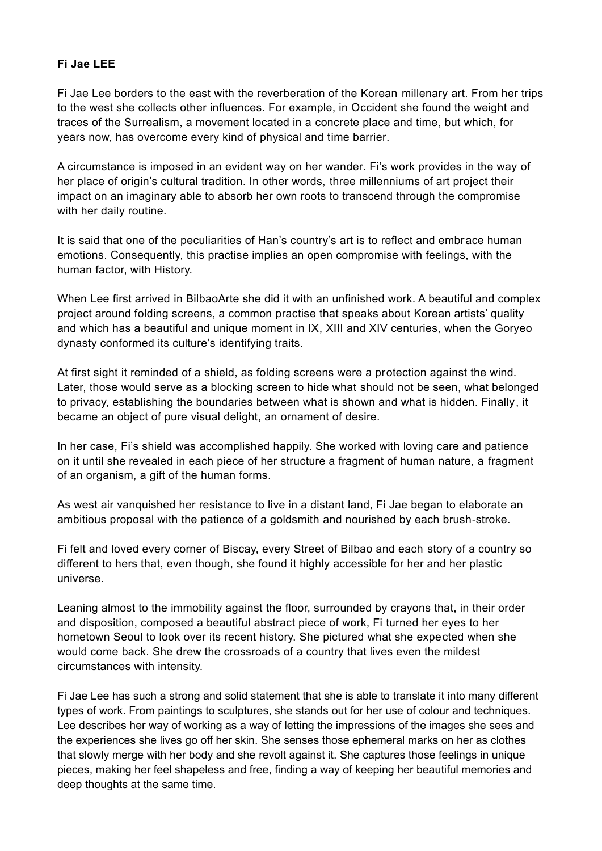## **Fi Jae LEE**

Fi Jae Lee borders to the east with the reverberation of the Korean millenary art. From her trips to the west she collects other influences. For example, in Occident she found the weight and traces of the Surrealism, a movement located in a concrete place and time, but which, for years now, has overcome every kind of physical and time barrier.

A circumstance is imposed in an evident way on her wander. Fi's work provides in the way of her place of origin's cultural tradition. In other words, three millenniums of art project their impact on an imaginary able to absorb her own roots to transcend through the compromise with her daily routine.

It is said that one of the peculiarities of Han's country's art is to reflect and embrace human emotions. Consequently, this practise implies an open compromise with feelings, with the human factor, with History.

When Lee first arrived in BilbaoArte she did it with an unfinished work. A beautiful and complex project around folding screens, a common practise that speaks about Korean artists' quality and which has a beautiful and unique moment in IX, XIII and XIV centuries, when the Goryeo dynasty conformed its culture's identifying traits.

At first sight it reminded of a shield, as folding screens were a protection against the wind. Later, those would serve as a blocking screen to hide what should not be seen, what belonged to privacy, establishing the boundaries between what is shown and what is hidden. Finally, it became an object of pure visual delight, an ornament of desire.

In her case, Fi's shield was accomplished happily. She worked with loving care and patience on it until she revealed in each piece of her structure a fragment of human nature, a fragment of an organism, a gift of the human forms.

As west air vanquished her resistance to live in a distant land, Fi Jae began to elaborate an ambitious proposal with the patience of a goldsmith and nourished by each brush-stroke.

Fi felt and loved every corner of Biscay, every Street of Bilbao and each story of a country so different to hers that, even though, she found it highly accessible for her and her plastic universe.

Leaning almost to the immobility against the floor, surrounded by crayons that, in their order and disposition, composed a beautiful abstract piece of work, Fi turned her eyes to her hometown Seoul to look over its recent history. She pictured what she expected when she would come back. She drew the crossroads of a country that lives even the mildest circumstances with intensity.

Fi Jae Lee has such a strong and solid statement that she is able to translate it into many different types of work. From paintings to sculptures, she stands out for her use of colour and techniques. Lee describes her way of working as a way of letting the impressions of the images she sees and the experiences she lives go off her skin. She senses those ephemeral marks on her as clothes that slowly merge with her body and she revolt against it. She captures those feelings in unique pieces, making her feel shapeless and free, finding a way of keeping her beautiful memories and deep thoughts at the same time.